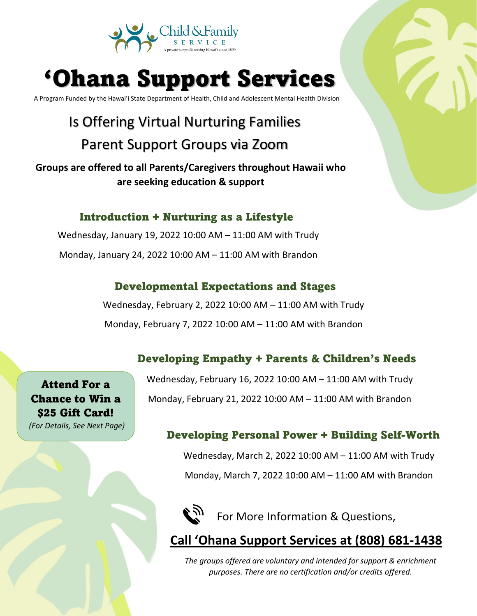

# 'Ohana Support Services

A Program Funded by the Hawai'i State Department of Health, Child and Adolescent Mental Health Division

### Is Offering Virtual Nurturing Families Parent Support Groups via Zoom

**Groups are offered to all Parents/Caregivers throughout Hawaii who are seeking education & support**

#### Introduction + Nurturing as a Lifestyle

Wednesday, January 19, 2022 10:00 AM – 11:00 AM with Trudy Monday, January 24, 2022 10:00 AM – 11:00 AM with Brandon

#### Developmental Expectations and Stages

Wednesday, February 2, 2022 10:00 AM – 11:00 AM with Trudy Monday, February 7, 2022 10:00 AM – 11:00 AM with Brandon

#### Developing Empathy + Parents & Children's Needs

Attend For a Chance to Win a \$25 Gift Card! *(For Details, See Next Page)* Wednesday, February 16, 2022 10:00 AM – 11:00 AM with Trudy Monday, February 21, 2022 10:00 AM – 11:00 AM with Brandon

#### Developing Personal Power + Building Self-Worth

Wednesday, March 2, 2022 10:00 AM – 11:00 AM with Trudy Monday, March 7, 2022 10:00 AM – 11:00 AM with Brandon



**Call 'Ohana Support Services at (808) 681-1438**

*The groups offered are voluntary and intended for support & enrichment purposes. There are no certification and/or credits offered.*